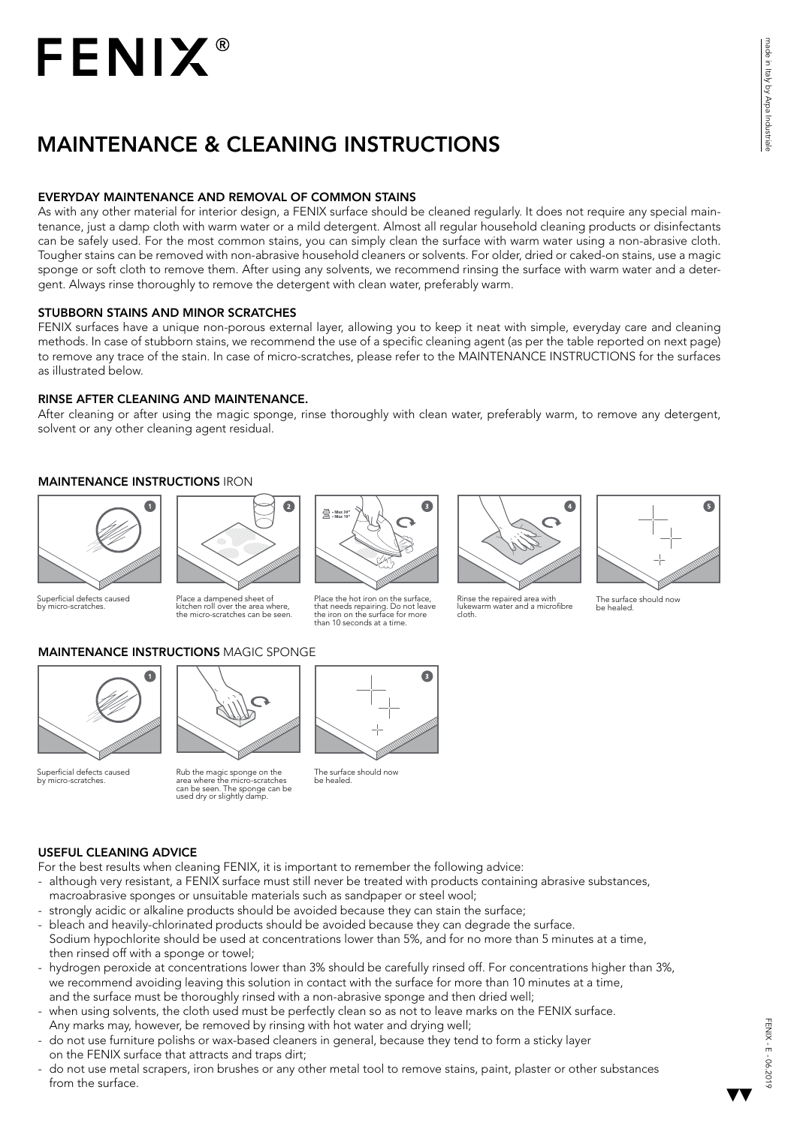## **FENIX®**

### MAINTENANCE & CLEANING INSTRUCTIONS

#### EVERYDAY MAINTENANCE AND REMOVAL OF COMMON STAINS

As with any other material for interior design, a FENIX surface should be cleaned regularly. It does not require any special maintenance, just a damp cloth with warm water or a mild detergent. Almost all regular household cleaning products or disinfectants can be safely used. For the most common stains, you can simply clean the surface with warm water using a non-abrasive cloth. Tougher stains can be removed with non-abrasive household cleaners or solvents. For older, dried or caked-on stains, use a magic sponge or soft cloth to remove them. After using any solvents, we recommend rinsing the surface with warm water and a detergent. Always rinse thoroughly to remove the detergent with clean water, preferably warm.

#### STUBBORN STAINS AND MINOR SCRATCHES

FENIX surfaces have a unique non-porous external layer, allowing you to keep it neat with simple, everyday care and cleaning methods. In case of stubborn stains, we recommend the use of a specific cleaning agent (as per the table reported on next page) to remove any trace of the stain. In case of micro-scratches, please refer to the MAINTENANCE INSTRUCTIONS for the surfaces as illustrated below.

#### RINSE AFTER CLEANING AND MAINTENANCE.

After cleaning or after using the magic sponge, rinse thoroughly with clean water, preferably warm, to remove any detergent, solvent or any other cleaning agent residual.

#### MAINTENANCE INSTRUCTIONS IRON



Superficial defects caused<br>by micro-scratches. by micro-scratches.



Place a dampened sheet of kitchen roll over the area where, the micro-scratches can be seen.



Place the hot iron on the surface, that needs repairing. Do not leave the iron on the surface for more than 10 seconds at a time.



Rinse the repaired area with lukewarm water and a microfibre cloth.



The surface should now be healed.

#### MAINTENANCE INSTRUCTIONS MAGIC SPONGE



Superficial defects caused perneigracies.<br>micro-scratch



Rub the magic sponge on the area where the micro-scratches can be seen. The sponge can be used dry or slightly damp.



The surface should now be healed.

#### USEFUL CLEANING ADVICE

For the best results when cleaning FENIX, it is important to remember the following advice:

- although very resistant, a FENIX surface must still never be treated with products containing abrasive substances, macroabrasive sponges or unsuitable materials such as sandpaper or steel wool;
- strongly acidic or alkaline products should be avoided because they can stain the surface;
- bleach and heavily-chlorinated products should be avoided because they can degrade the surface. Sodium hypochlorite should be used at concentrations lower than 5%, and for no more than 5 minutes at a time, then rinsed off with a sponge or towel;
- hydrogen peroxide at concentrations lower than 3% should be carefully rinsed off. For concentrations higher than 3%, we recommend avoiding leaving this solution in contact with the surface for more than 10 minutes at a time, and the surface must be thoroughly rinsed with a non-abrasive sponge and then dried well;
- when using solvents, the cloth used must be perfectly clean so as not to leave marks on the FENIX surface. Any marks may, however, be removed by rinsing with hot water and drying well;
- do not use furniture polishs or wax-based cleaners in general, because they tend to form a sticky layer on the FENIX surface that attracts and traps dirt;
- do not use metal scrapers, iron brushes or any other metal tool to remove stains, paint, plaster or other substances from the surface.

made in Italy by Arpa Industrial